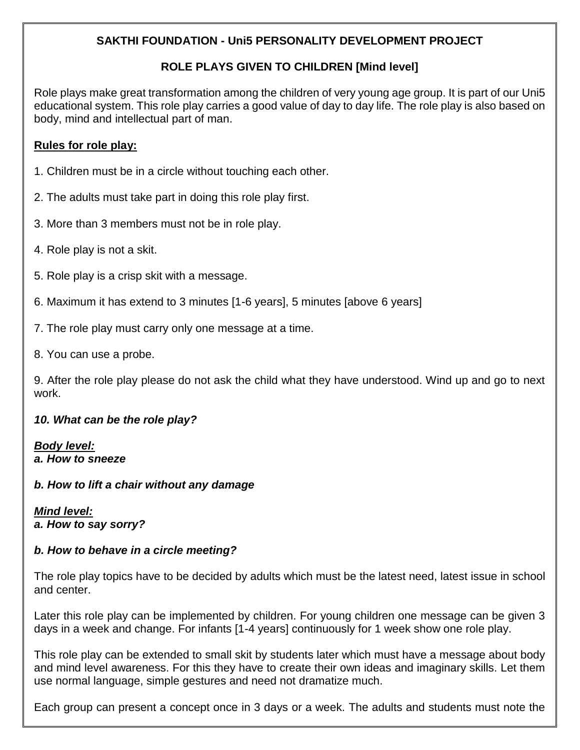# **SAKTHI FOUNDATION - Uni5 PERSONALITY DEVELOPMENT PROJECT**

# **ROLE PLAYS GIVEN TO CHILDREN [Mind level]**

Role plays make great transformation among the children of very young age group. It is part of our Uni5 educational system. This role play carries a good value of day to day life. The role play is also based on body, mind and intellectual part of man.

### **Rules for role play:**

- 1. Children must be in a circle without touching each other.
- 2. The adults must take part in doing this role play first.
- 3. More than 3 members must not be in role play.
- 4. Role play is not a skit.
- 5. Role play is a crisp skit with a message.
- 6. Maximum it has extend to 3 minutes [1-6 years], 5 minutes [above 6 years]
- 7. The role play must carry only one message at a time.
- 8. You can use a probe.

9. After the role play please do not ask the child what they have understood. Wind up and go to next work.

## *10. What can be the role play?*

*Body level: a. How to sneeze*

#### *b. How to lift a chair without any damage*

#### *Mind level: a. How to say sorry?*

## *b. How to behave in a circle meeting?*

The role play topics have to be decided by adults which must be the latest need, latest issue in school and center.

Later this role play can be implemented by children. For young children one message can be given 3 days in a week and change. For infants [1-4 years] continuously for 1 week show one role play.

This role play can be extended to small skit by students later which must have a message about body and mind level awareness. For this they have to create their own ideas and imaginary skills. Let them use normal language, simple gestures and need not dramatize much.

Each group can present a concept once in 3 days or a week. The adults and students must note the